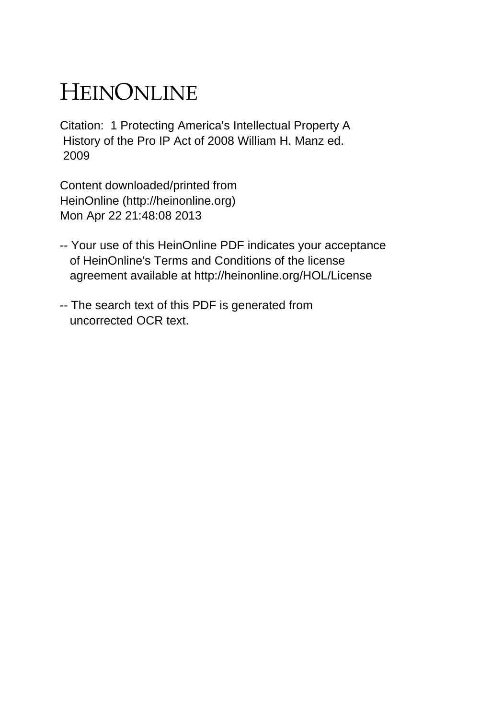## HEINONLINE

Citation: 1 Protecting America's Intellectual Property A History of the Pro IP Act of 2008 William H. Manz ed. 2009

Content downloaded/printed from HeinOnline (http://heinonline.org) Mon Apr 22 21:48:08 2013

- -- Your use of this HeinOnline PDF indicates your acceptance of HeinOnline's Terms and Conditions of the license agreement available at http://heinonline.org/HOL/License
- -- The search text of this PDF is generated from uncorrected OCR text.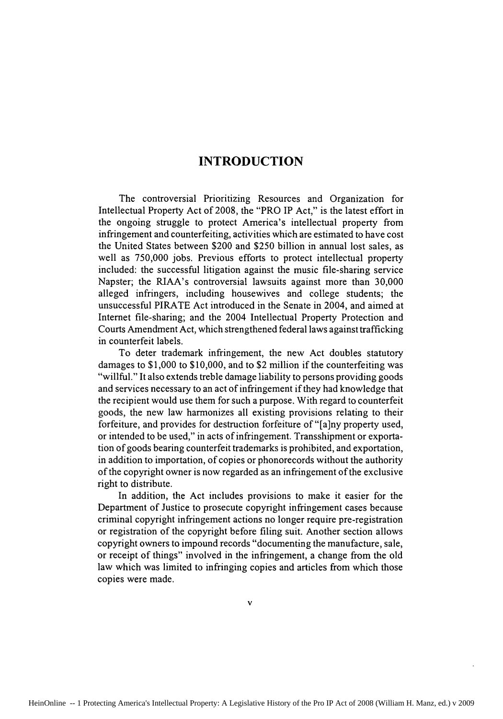## **INTRODUCTION**

The controversial Prioritizing Resources and Organization for Intellectual Property Act of **2008,** the "PRO IP Act," is the latest effort in the ongoing struggle to protect America's intellectual property from infringement and counterfeiting, activities which are estimated to have cost the United States between \$200 and **\$250** billion in annual lost sales, as well as **750,000** jobs. Previous efforts to protect intellectual property included: the successful litigation against the music file-sharing service Napster; the RIAA's controversial lawsuits against more than **30,000** alleged infringers, including housewives and college students; the unsuccessful PIRATE Act introduced in the Senate in 2004, and aimed at Internet file-sharing; and the 2004 Intellectual Property Protection and Courts Amendment Act, which strengthened federal laws against trafficking in counterfeit labels.

To deter trademark infringement, the new Act doubles statutory damages to **\$ 1,000** to **\$10,000,** and to \$2 million if the counterfeiting was "willful." It also extends treble damage liability to persons providing goods and services necessary to an act of infringement if they had knowledge that the recipient would use them for such a purpose. With regard to counterfeit goods, the new law harmonizes all existing provisions relating to their forfeiture, and provides for destruction forfeiture of "[a]ny property used, or intended to be used," in acts of infringement. Transshipment or exportation of goods bearing counterfeit trademarks is prohibited, and exportation, in addition to importation, of copies or phonorecords without the authority of the copyright owner is now regarded as an infringement of the exclusive right to distribute.

In addition, the Act includes provisions to make it easier for the Department of Justice to prosecute copyright infringement cases because criminal copyright infringement actions no longer require pre-registration or registration of the copyright before filing suit. Another section allows copyright owners to impound records "documenting the manufacture, sale, or receipt of things" involved in the infringement, a change from the old law which was limited to infringing copies and articles from which those copies were made.